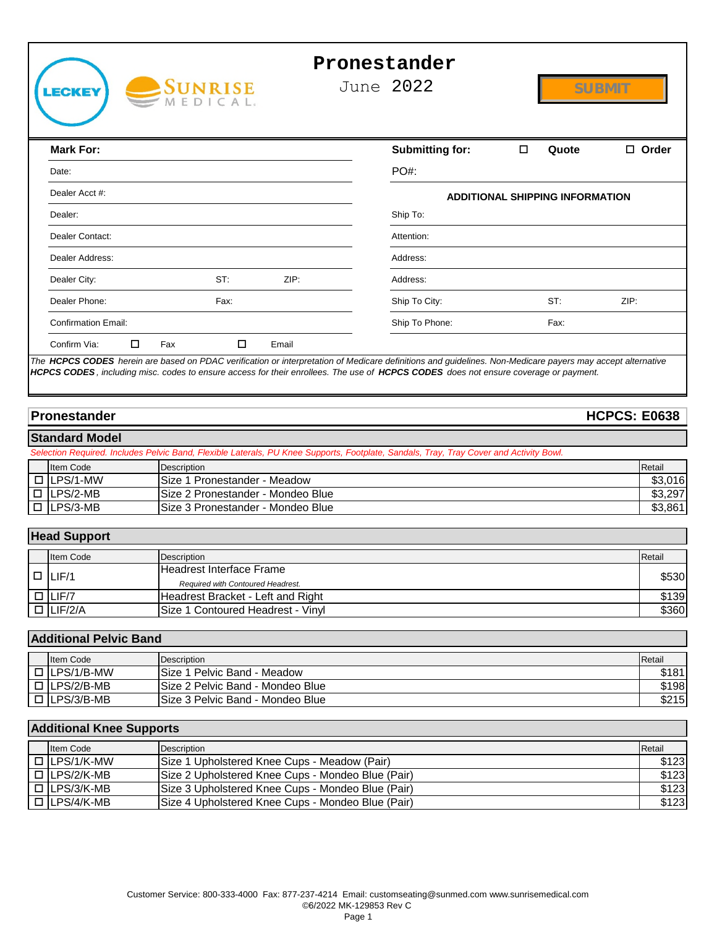

# **Pronestander**

June 2022

|                                               | <b>Mark For:</b>                              |                                                   | <b>Submitting for:</b>                                                                                                                | $\Box$<br>Quote                        | $\Box$ Order        |  |
|-----------------------------------------------|-----------------------------------------------|---------------------------------------------------|---------------------------------------------------------------------------------------------------------------------------------------|----------------------------------------|---------------------|--|
|                                               | Date:                                         |                                                   | PO#:                                                                                                                                  |                                        |                     |  |
|                                               | Dealer Acct #:                                |                                                   |                                                                                                                                       | <b>ADDITIONAL SHIPPING INFORMATION</b> |                     |  |
|                                               | Dealer:                                       |                                                   | Ship To:                                                                                                                              |                                        |                     |  |
|                                               | Dealer Contact:                               |                                                   | Attention:                                                                                                                            |                                        |                     |  |
|                                               | Dealer Address:                               |                                                   | Address:                                                                                                                              |                                        |                     |  |
|                                               |                                               |                                                   |                                                                                                                                       |                                        |                     |  |
|                                               | Dealer City:                                  | ST:<br>ZIP:                                       | Address:                                                                                                                              |                                        |                     |  |
|                                               | Dealer Phone:                                 | Fax:                                              | Ship To City:                                                                                                                         | ST:                                    | ZIP:                |  |
|                                               | <b>Confirmation Email:</b>                    |                                                   | Ship To Phone:                                                                                                                        | Fax:                                   |                     |  |
|                                               | □<br>Confirm Via:                             | Fax<br>□<br>Email                                 |                                                                                                                                       |                                        |                     |  |
|                                               | Pronestander                                  |                                                   |                                                                                                                                       |                                        | <b>HCPCS: E0638</b> |  |
|                                               | <b>Standard Model</b>                         |                                                   |                                                                                                                                       |                                        |                     |  |
|                                               |                                               |                                                   | election Required. Includes Pelvic Band, Flexible Laterals, PU Knee Supports, Footplate, Sandals, Tray, Tray Cover and Activity Bowl. |                                        |                     |  |
|                                               | <b>Item Code</b>                              | Description                                       |                                                                                                                                       |                                        | Retail              |  |
|                                               | LPS/1-MW                                      | Size 1 Pronestander - Meadow                      |                                                                                                                                       |                                        | \$3,016             |  |
|                                               | LPS/2-MB<br>Size 2 Pronestander - Mondeo Blue |                                                   |                                                                                                                                       | \$3,297                                |                     |  |
| LPS/3-MB<br>Size 3 Pronestander - Mondeo Blue |                                               |                                                   |                                                                                                                                       | \$3,861                                |                     |  |
|                                               |                                               |                                                   |                                                                                                                                       |                                        |                     |  |
|                                               | lead Support                                  |                                                   |                                                                                                                                       |                                        |                     |  |
|                                               | Item Code                                     | Description                                       |                                                                                                                                       |                                        | Retail              |  |
|                                               |                                               | <b>Headrest Interface Frame</b>                   |                                                                                                                                       |                                        |                     |  |
| ┒                                             | LIF/1                                         | Required with Contoured Headrest.                 |                                                                                                                                       |                                        | \$530               |  |
|                                               | LIF/7                                         | Headrest Bracket - Left and Right                 |                                                                                                                                       |                                        | \$139               |  |
|                                               | $\overline{\Box}$ LIF/2/A                     | Size 1 Contoured Headrest - Vinyl                 |                                                                                                                                       |                                        | \$36C               |  |
|                                               |                                               |                                                   |                                                                                                                                       |                                        |                     |  |
|                                               | <b>Additional Pelvic Band</b>                 |                                                   |                                                                                                                                       |                                        |                     |  |
|                                               | Item Code                                     | Description                                       |                                                                                                                                       |                                        | Retail              |  |
| Ξ                                             | LPS/1/B-MW                                    | Size 1 Pelvic Band - Meadow                       |                                                                                                                                       |                                        | \$181               |  |
|                                               | LPS/2/B-MB                                    | Size 2 Pelvic Band - Mondeo Blue                  |                                                                                                                                       |                                        | \$198               |  |
|                                               | LPS/3/B-MB                                    | Size 3 Pelvic Band - Mondeo Blue                  |                                                                                                                                       |                                        | \$215               |  |
|                                               |                                               |                                                   |                                                                                                                                       |                                        |                     |  |
|                                               |                                               |                                                   |                                                                                                                                       |                                        |                     |  |
|                                               | dditional Knee Supports                       |                                                   |                                                                                                                                       |                                        | Retail              |  |
|                                               | Item Code                                     | Description                                       |                                                                                                                                       |                                        |                     |  |
| Ξ                                             | LPS/1/K-MW                                    | Size 1 Upholstered Knee Cups - Meadow (Pair)      |                                                                                                                                       |                                        | \$123               |  |
|                                               | LPS/2/K-MB                                    | Size 2 Upholstered Knee Cups - Mondeo Blue (Pair) |                                                                                                                                       |                                        | \$123               |  |
| $\Box$                                        | LPS/3/K-MB                                    | Size 3 Upholstered Knee Cups - Mondeo Blue (Pair) |                                                                                                                                       |                                        | \$123               |  |
|                                               | LPS/4/K-MB                                    | Size 4 Upholstered Knee Cups - Mondeo Blue (Pair) |                                                                                                                                       |                                        | \$123               |  |

### **Pronestander HCPCS: E0638**

#### **Standard Model**

| <b>Item Code</b> | Description                       | Retail  |
|------------------|-----------------------------------|---------|
| $\Box$ LPS/1-MW  | ISize 1 Pronestander - Meadow     | \$3,016 |
| $\Box$ LPS/2-MB  | Size 2 Pronestander - Mondeo Blue | \$3,297 |
| $\Box$ LPS/3-MB  | Size 3 Pronestander - Mondeo Blue | \$3,861 |

### **Head Support**

| <b>Item Code</b> | Description                       | Retail |
|------------------|-----------------------------------|--------|
| $  \Box  $ LIF/1 | Headrest Interface Frame          | \$530  |
|                  | Required with Contoured Headrest. |        |
| $\Box$ LIF/7     | Headrest Bracket - Left and Right | \$139  |
| $\Box$ LIF/2/A   | Size 1 Contoured Headrest - Vinyl | \$360  |

# **Additional Pelvic Band**

| <b>Item Code</b>  | Description                       | Retail |
|-------------------|-----------------------------------|--------|
| $\Box$ LPS/1/B-MW | Size 1 Pelvic Band - Meadow       | \$181  |
| $\Box$ LPS/2/B-MB | ISize 2 Pelvic Band - Mondeo Blue | \$198  |
| $\Box$ LPS/3/B-MB | ISize 3 Pelvic Band - Mondeo Blue | \$215  |

### **Additional Knee Supports**

| <b>Item Code</b>  | Description                                               | Retail |
|-------------------|-----------------------------------------------------------|--------|
| $\Box$ LPS/1/K-MW | <b>ISize 1 Upholstered Knee Cups - Meadow (Pair)</b>      | \$123  |
| $\Box$ LPS/2/K-MB | <b>ISize 2 Upholstered Knee Cups - Mondeo Blue (Pair)</b> | \$123  |
| I □ ILPS/3/K-MB   | <b>ISize 3 Upholstered Knee Cups - Mondeo Blue (Pair)</b> | \$123  |
| $\Box$ LPS/4/K-MB | ISize 4 Upholstered Knee Cups - Mondeo Blue (Pair)        | \$123  |